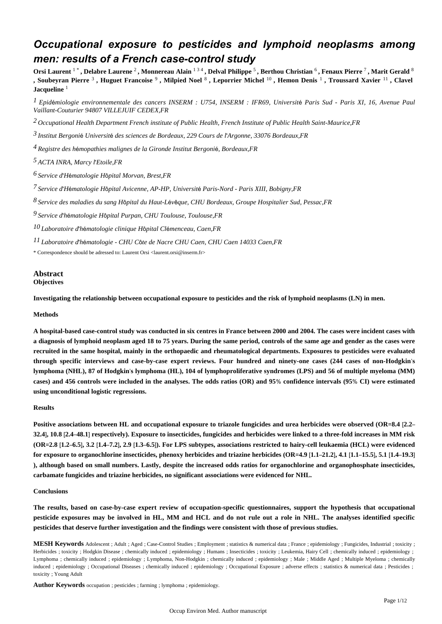# *Occupational exposure to pesticides and lymphoid neoplasms among men: results of a French case-control study*

Orsi Laurent  $1$  \* , Delabre Laurene  $^2$  , Monnereau Alain  $1\,3\,4$  , Delval Philippe  $^5$  , Berthou Christian  $^6$  , Fenaux Pierre  $^7$  , Marit Gerald  $^8$ , Soubeyran Pierre  $^3$  , Huguet Francoise  $^9$  , Milpied Noel  $^8$  , Leporrier Michel  $^{10}$  , Hemon Denis  $^1$  , Troussard Xavier  $^{11}$  , Clavel Jacqueline<sup>1</sup>

*Epid miologie environnementale des cancers 1* <sup>é</sup> *INSERM : U754, INSERM : IFR69, Universit*é *Paris Sud - Paris XI, 16, Avenue Paul Vaillant-Couturier 94807 VILLEJUIF CEDEX,FR*

*Occupational Health Department 2 French institute of Public Health, French Institute of Public Health Saint-Maurice,FR*

*Institut Bergoni 3* <sup>é</sup> *Universit*é *des sciences de Bordeaux, 229 Cours de l*'*Argonne, 33076 Bordeaux,FR*

<sup>4</sup> Registre des hémopathies malignes de la Gironde Institut Bergonié, Bordeaux,FR

*ACTA 5 INRA, Marcy l*'*Etoile,FR*

*Service d H matologie 6* ' <sup>é</sup> *H*ô*pital Morvan, Brest,FR*

*Service d H matologie 7* ' <sup>é</sup> *H*ô*pital Avicenne, AP-HP, Universit*é *Paris-Nord - Paris XIII, Bobigny,FR*

*Service des maladies du sang 8 H*ô*pital du Haut-L*é*v*ê*que, CHU Bordeaux, Groupe Hospitalier Sud, Pessac,FR*

*Service d h matologie 9* ' <sup>é</sup> *H*ô*pital Purpan, CHU Toulouse, Toulouse,FR*

*Laboratoire d h matologie clinique 10* ' <sup>é</sup> *H*ô*pital Cl*é*menceau, Caen,FR*

*Laboratoire d h matologie - CHU C te de Nacre 11* ' <sup>é</sup> <sup>ô</sup> *CHU Caen, CHU Caen 14033 Caen,FR*

\* Correspondence should be adressed to: Laurent Orsi <laurent.orsi@inserm.fr>

## **Abstract Objectives**

**Investigating the relationship between occupational exposure to pesticides and the risk of lymphoid neoplasms (LN) in men.**

#### **Methods**

**A hospital-based case-control study was conducted in six centres in France between 2000 and 2004. The cases were incident cases with a diagnosis of lymphoid neoplasm aged 18 to 75 years. During the same period, controls of the same age and gender as the cases were recruited in the same hospital, mainly in the orthopaedic and rheumatological departments. Exposures to pesticides were evaluated through specific interviews and case-by-case expert reviews. Four hundred and ninety-one cases (244 cases of non-Hodgkin**'**s lymphoma (NHL), 87 of Hodgkin**'**s lymphoma (HL), 104 of lymphoproliferative syndromes (LPS) and 56 of multiple myeloma (MM) cases) and 456 controls were included in the analyses. The odds ratios (OR) and 95**% **confidence intervals (95**% **CI) were estimated using unconditional logistic regressions.**

## **Results**

**Positive associations between HL and occupational exposure to triazole fungicides and urea herbicides were observed (OR**=**8.4** [**2.2**– **32.4**]**, 10.8** [**2.4**–**48.1**] **respectively). Exposure to insecticides, fungicides and herbicides were linked to a three-fold increases in MM risk (OR**=**2.8** [**1.2**–**6.5**]**, 3.2** [**1.4**–**7.2**]**, 2.9** [**1.3**–**6.5**]**). For LPS subtypes, associations restricted to hairy-cell leukaemia (HCL) were evidenced for exposure to organochlorine insecticides, phenoxy herbicides and triazine herbicides (OR**=**4.9** [**1.1**–**21.2**]**, 4.1** [**1.1**–**15.5**]**, 5.1** [**1.4**–**19.3**] **), although based on small numbers. Lastly, despite the increased odds ratios for organochlorine and organophosphate insecticides, carbamate fungicides and triazine herbicides, no significant associations were evidenced for NHL.**

#### **Conclusions**

**The results, based on case-by-case expert review of occupation-specific questionnaires, support the hypothesis that occupational pesticide exposures may be involved in HL, MM and HCL and do not rule out a role in NHL. The analyses identified specific pesticides that deserve further investigation and the findings were consistent with those of previous studies.**

**MESH Keywords** Adolescent ; Adult ; Aged ; Case-Control Studies ; Employment ; statistics & numerical data ; France ; epidemiology ; Fungicides, Industrial ; toxicity ; Herbicides ; toxicity ; Hodgkin Disease ; chemically induced ; epidemiology ; Humans ; Insecticides ; toxicity ; Leukemia, Hairy Cell ; chemically induced ; epidemiology ; Lymphoma ; chemically induced ; epidemiology ; Lymphoma, Non-Hodgkin ; chemically induced ; epidemiology ; Male ; Middle Aged ; Multiple Myeloma ; chemically induced ; epidemiology ; Occupational Diseases ; chemically induced ; epidemiology ; Occupational Exposure ; adverse effects ; statistics & numerical data ; Pesticides ; toxicity ; Young Adult

**Author Keywords** occupation ; pesticides ; farming ; lymphoma ; epidemiology.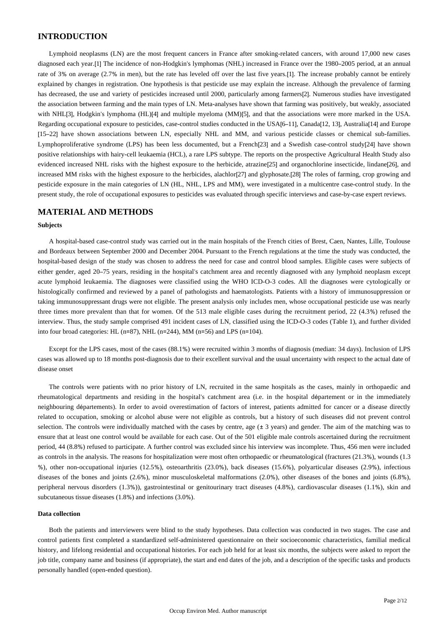# **INTRODUCTION**

Lymphoid neoplasms (LN) are the most frequent cancers in France after smoking-related cancers, with around 17,000 new cases diagnosed each year.[1] The incidence of non-Hodgkin's lymphomas (NHL) increased in France over the 1980–2005 period, at an annual rate of 3% on average (2.7% in men), but the rate has leveled off over the last five years.[1]. The increase probably cannot be entirely explained by changes in registration. One hypothesis is that pesticide use may explain the increase. Although the prevalence of farming has decreased, the use and variety of pesticides increased until 2000, particularly among farmers[2]. Numerous studies have investigated the association between farming and the main types of LN. Meta-analyses have shown that farming was positively, but weakly, associated with NHL[3], Hodgkin's lymphoma (HL)[4] and multiple myeloma (MM)[5], and that the associations were more marked in the USA. Regarding occupational exposure to pesticides, case-control studies conducted in the USA[6–11], Canada[12, 13], Australia[14] and Europe [15–22] have shown associations between LN, especially NHL and MM, and various pesticide classes or chemical sub-families. Lymphoproliferative syndrome (LPS) has been less documented, but a French[23] and a Swedish case-control study[24] have shown positive relationships with hairy-cell leukaemia (HCL), a rare LPS subtype. The reports on the prospective Agricultural Health Study also evidenced increased NHL risks with the highest exposure to the herbicide, atrazine[25] and organochlorine insecticide, lindane[26], and increased MM risks with the highest exposure to the herbicides, alachlor[27] and glyphosate.[28] The roles of farming, crop growing and pesticide exposure in the main categories of LN (HL, NHL, LPS and MM), were investigated in a multicentre case-control study. In the present study, the role of occupational exposures to pesticides was evaluated through specific interviews and case-by-case expert reviews.

# **MATERIAL AND METHODS**

#### **Subjects**

A hospital-based case-control study was carried out in the main hospitals of the French cities of Brest, Caen, Nantes, Lille, Toulouse and Bordeaux between September 2000 and December 2004. Pursuant to the French regulations at the time the study was conducted, the hospital-based design of the study was chosen to address the need for case and control blood samples. Eligible cases were subjects of either gender, aged 20–75 years, residing in the hospital's catchment area and recently diagnosed with any lymphoid neoplasm except acute lymphoid leukaemia. The diagnoses were classified using the WHO ICD-O-3 codes. All the diagnoses were cytologically or histologically confirmed and reviewed by a panel of pathologists and haematologists. Patients with a history of immunosuppression or taking immunosuppressant drugs were not eligible. The present analysis only includes men, whose occupational pesticide use was nearly three times more prevalent than that for women. Of the 513 male eligible cases during the recruitment period, 22 (4.3%) refused the interview. Thus, the study sample comprised 491 incident cases of LN, classified using the ICD-O-3 codes (Table 1), and further divided into four broad categories: HL (n=87), NHL (n=244), MM (n=56) and LPS (n=104).

Except for the LPS cases, most of the cases (88.1%) were recruited within 3 months of diagnosis (median: 34 days). Inclusion of LPS cases was allowed up to 18 months post-diagnosis due to their excellent survival and the usual uncertainty with respect to the actual date of disease onset

The controls were patients with no prior history of LN, recruited in the same hospitals as the cases, mainly in orthopaedic and rheumatological departments and residing in the hospital's catchment area (i.e. in the hospital département or in the immediately neighbouring départements). In order to avoid overestimation of factors of interest, patients admitted for cancer or a disease directly related to occupation, smoking or alcohol abuse were not eligible as controls, but a history of such diseases did not prevent control selection. The controls were individually matched with the cases by centre, age  $(\pm 3$  years) and gender. The aim of the matching was to ensure that at least one control would be available for each case. Out of the 501 eligible male controls ascertained during the recruitment period, 44 (8.8%) refused to participate. A further control was excluded since his interview was incomplete. Thus, 456 men were included as controls in the analysis. The reasons for hospitalization were most often orthopaedic or rheumatological (fractures (21.3%), wounds (1.3 %), other non-occupational injuries (12.5%), osteoarthritis (23.0%), back diseases (15.6%), polyarticular diseases (2.9%), infectious diseases of the bones and joints (2.6%), minor musculoskeletal malformations (2.0%), other diseases of the bones and joints (6.8%), peripheral nervous disorders (1.3%)), gastrointestinal or genitourinary tract diseases (4.8%), cardiovascular diseases (1.1%), skin and subcutaneous tissue diseases (1.8%) and infections (3.0%).

#### **Data collection**

Both the patients and interviewers were blind to the study hypotheses. Data collection was conducted in two stages. The case and control patients first completed a standardized self-administered questionnaire on their socioeconomic characteristics, familial medical history, and lifelong residential and occupational histories. For each job held for at least six months, the subjects were asked to report the job title, company name and business (if appropriate), the start and end dates of the job, and a description of the specific tasks and products personally handled (open-ended question).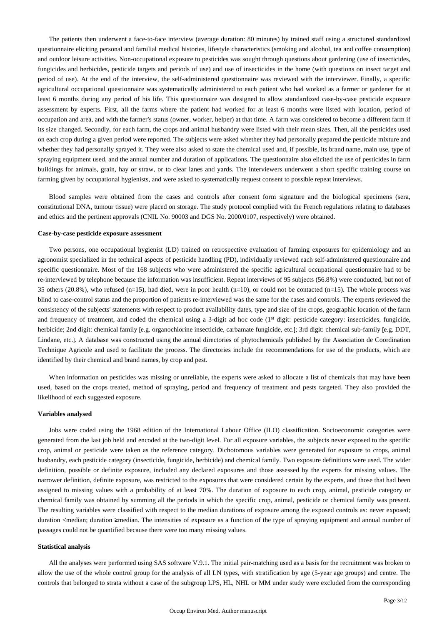The patients then underwent a face-to-face interview (average duration: 80 minutes) by trained staff using a structured standardized questionnaire eliciting personal and familial medical histories, lifestyle characteristics (smoking and alcohol, tea and coffee consumption) and outdoor leisure activities. Non-occupational exposure to pesticides was sought through questions about gardening (use of insecticides, fungicides and herbicides, pesticide targets and periods of use) and use of insecticides in the home (with questions on insect target and period of use). At the end of the interview, the self-administered questionnaire was reviewed with the interviewer. Finally, a specific agricultural occupational questionnaire was systematically administered to each patient who had worked as a farmer or gardener for at least 6 months during any period of his life. This questionnaire was designed to allow standardized case-by-case pesticide exposure assessment by experts. First, all the farms where the patient had worked for at least 6 months were listed with location, period of occupation and area, and with the farmer's status (owner, worker, helper) at that time. A farm was considered to become a different farm if its size changed. Secondly, for each farm, the crops and animal husbandry were listed with their mean sizes. Then, all the pesticides used on each crop during a given period were reported. The subjects were asked whether they had personally prepared the pesticide mixture and whether they had personally sprayed it. They were also asked to state the chemical used and, if possible, its brand name, main use, type of spraying equipment used, and the annual number and duration of applications. The questionnaire also elicited the use of pesticides in farm buildings for animals, grain, hay or straw, or to clear lanes and yards. The interviewers underwent a short specific training course on farming given by occupational hygienists, and were asked to systematically request consent to possible repeat interviews.

Blood samples were obtained from the cases and controls after consent form signature and the biological specimens (sera, constitutional DNA, tumour tissue) were placed on storage. The study protocol complied with the French regulations relating to databases and ethics and the pertinent approvals (CNIL No. 90003 and DGS No. 2000/0107, respectively) were obtained.

#### **Case-by-case pesticide exposure assessment**

Two persons, one occupational hygienist (LD) trained on retrospective evaluation of farming exposures for epidemiology and an agronomist specialized in the technical aspects of pesticide handling (PD), individually reviewed each self-administered questionnaire and specific questionnaire. Most of the 168 subjects who were administered the specific agricultural occupational questionnaire had to be re-interviewed by telephone because the information was insufficient. Repeat interviews of 95 subjects (56.8%) were conducted, but not of 35 others (20.8%), who refused (n=15), had died, were in poor health (n=10), or could not be contacted (n=15). The whole process was blind to case-control status and the proportion of patients re-interviewed was the same for the cases and controls. The experts reviewed the consistency of the subjects' statements with respect to product availability dates, type and size of the crops, geographic location of the farm and frequency of treatment, and coded the chemical using a 3-digit ad hoc code (1<sup>st</sup> digit: pesticide category: insecticides, fungicide, herbicide; 2nd digit: chemical family [e.g. organochlorine insecticide, carbamate fungicide, etc.]; 3rd digit: chemical sub-family [e.g. DDT, Lindane, etc.]. A database was constructed using the annual directories of phytochemicals published by the Association de Coordination Technique Agricole and used to facilitate the process. The directories include the recommendations for use of the products, which are identified by their chemical and brand names, by crop and pest.

When information on pesticides was missing or unreliable, the experts were asked to allocate a list of chemicals that may have been used, based on the crops treated, method of spraying, period and frequency of treatment and pests targeted. They also provided the likelihood of each suggested exposure.

#### **Variables analysed**

Jobs were coded using the 1968 edition of the International Labour Office (ILO) classification. Socioeconomic categories were generated from the last job held and encoded at the two-digit level. For all exposure variables, the subjects never exposed to the specific crop, animal or pesticide were taken as the reference category. Dichotomous variables were generated for exposure to crops, animal husbandry, each pesticide category (insecticide, fungicide, herbicide) and chemical family. Two exposure definitions were used. The wider definition, possible or definite exposure, included any declared exposures and those assessed by the experts for missing values. The narrower definition, definite exposure, was restricted to the exposures that were considered certain by the experts, and those that had been assigned to missing values with a probability of at least 70%. The duration of exposure to each crop, animal, pesticide category or chemical family was obtained by summing all the periods in which the specific crop, animal, pesticide or chemical family was present. The resulting variables were classified with respect to the median durations of exposure among the exposed controls as: never exposed; duration <median; duration ≥median. The intensities of exposure as a function of the type of spraying equipment and annual number of passages could not be quantified because there were too many missing values.

#### **Statistical analysis**

All the analyses were performed using SAS software V.9.1. The initial pair-matching used as a basis for the recruitment was broken to allow the use of the whole control group for the analysis of all LN types, with stratification by age (5-year age groups) and centre. The controls that belonged to strata without a case of the subgroup LPS, HL, NHL or MM under study were excluded from the corresponding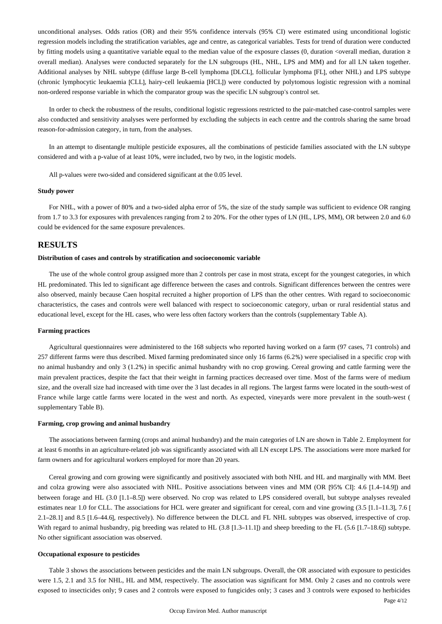unconditional analyses. Odds ratios (OR) and their 95% confidence intervals (95% CI) were estimated using unconditional logistic regression models including the stratification variables, age and centre, as categorical variables. Tests for trend of duration were conducted by fitting models using a quantitative variable equal to the median value of the exposure classes (0, duration  $\langle$ overall median, duration  $\geq$ overall median). Analyses were conducted separately for the LN subgroups (HL, NHL, LPS and MM) and for all LN taken together. Additional analyses by NHL subtype (diffuse large B-cell lymphoma [DLCL], follicular lymphoma [FL], other NHL) and LPS subtype (chronic lymphocytic leukaemia [CLL], hairy-cell leukaemia [HCL]) were conducted by polytomous logistic regression with a nominal non-ordered response variable in which the comparator group was the specific LN subgroup's control set.

In order to check the robustness of the results, conditional logistic regressions restricted to the pair-matched case-control samples were also conducted and sensitivity analyses were performed by excluding the subjects in each centre and the controls sharing the same broad reason-for-admission category, in turn, from the analyses.

In an attempt to disentangle multiple pesticide exposures, all the combinations of pesticide families associated with the LN subtype considered and with a p-value of at least 10%, were included, two by two, in the logistic models.

All p-values were two-sided and considered significant at the 0.05 level.

#### **Study power**

For NHL, with a power of 80% and a two-sided alpha error of 5%, the size of the study sample was sufficient to evidence OR ranging from 1.7 to 3.3 for exposures with prevalences ranging from 2 to 20%. For the other types of LN (HL, LPS, MM), OR between 2.0 and 6.0 could be evidenced for the same exposure prevalences.

## **RESULTS**

## **Distribution of cases and controls by stratification and socioeconomic variable**

The use of the whole control group assigned more than 2 controls per case in most strata, except for the youngest categories, in which HL predominated. This led to significant age difference between the cases and controls. Significant differences between the centres were also observed, mainly because Caen hospital recruited a higher proportion of LPS than the other centres. With regard to socioeconomic characteristics, the cases and controls were well balanced with respect to socioeconomic category, urban or rural residential status and educational level, except for the HL cases, who were less often factory workers than the controls (supplementary Table A).

#### **Farming practices**

Agricultural questionnaires were administered to the 168 subjects who reported having worked on a farm (97 cases, 71 controls) and 257 different farms were thus described. Mixed farming predominated since only 16 farms (6.2%) were specialised in a specific crop with no animal husbandry and only 3 (1.2%) in specific animal husbandry with no crop growing. Cereal growing and cattle farming were the main prevalent practices, despite the fact that their weight in farming practices decreased over time. Most of the farms were of medium size, and the overall size had increased with time over the 3 last decades in all regions. The largest farms were located in the south-west of France while large cattle farms were located in the west and north. As expected, vineyards were more prevalent in the south-west ( supplementary Table B).

#### **Farming, crop growing and animal husbandry**

The associations between farming (crops and animal husbandry) and the main categories of LN are shown in Table 2. Employment for at least 6 months in an agriculture-related job was significantly associated with all LN except LPS. The associations were more marked for farm owners and for agricultural workers employed for more than 20 years.

Cereal growing and corn growing were significantly and positively associated with both NHL and HL and marginally with MM. Beet and colza growing were also associated with NHL. Positive associations between vines and MM (OR [95% CI]: 4.6 [1.4–14.9]) and between forage and HL (3.0 [1.1–8.5]) were observed. No crop was related to LPS considered overall, but subtype analyses revealed estimates near 1.0 for CLL. The associations for HCL were greater and significant for cereal, corn and vine growing (3.5 [1.1–11.3], 7.6 [ 2.1–28.1] and 8.5 [1.6–44.6], respectively). No difference between the DLCL and FL NHL subtypes was observed, irrespective of crop. With regard to animal husbandry, pig breeding was related to HL  $(3.8$  [1.3–11.1]) and sheep breeding to the FL  $(5.6$  [1.7–18.6]) subtype. No other significant association was observed.

#### **Occupational exposure to pesticides**

Table 3 shows the associations between pesticides and the main LN subgroups. Overall, the OR associated with exposure to pesticides were 1.5, 2.1 and 3.5 for NHL, HL and MM, respectively. The association was significant for MM. Only 2 cases and no controls were exposed to insecticides only; 9 cases and 2 controls were exposed to fungicides only; 3 cases and 3 controls were exposed to herbicides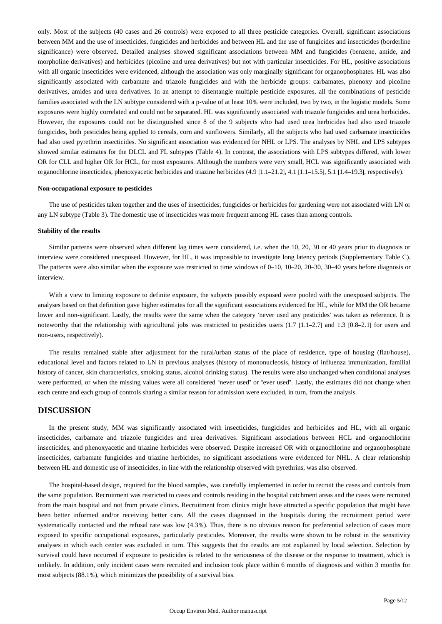only. Most of the subjects (40 cases and 26 controls) were exposed to all three pesticide categories. Overall, significant associations between MM and the use of insecticides, fungicides and herbicides and between HL and the use of fungicides and insecticides (borderline significance) were observed. Detailed analyses showed significant associations between MM and fungicides (benzene, amide, and morpholine derivatives) and herbicides (picoline and urea derivatives) but not with particular insecticides. For HL, positive associations with all organic insecticides were evidenced, although the association was only marginally significant for organophosphates. HL was also significantly associated with carbamate and triazole fungicides and with the herbicide groups: carbamates, phenoxy and picoline derivatives, amides and urea derivatives. In an attempt to disentangle multiple pesticide exposures, all the combinations of pesticide families associated with the LN subtype considered with a p-value of at least 10% were included, two by two, in the logistic models. Some exposures were highly correlated and could not be separated. HL was significantly associated with triazole fungicides and urea herbicides. However, the exposures could not be distinguished since 8 of the 9 subjects who had used urea herbicides had also used triazole fungicides, both pesticides being applied to cereals, corn and sunflowers. Similarly, all the subjects who had used carbamate insecticides had also used pyrethrin insecticides. No significant association was evidenced for NHL or LPS. The analyses by NHL and LPS subtypes showed similar estimates for the DLCL and FL subtypes (Table 4). In contrast, the associations with LPS subtypes differed, with lower OR for CLL and higher OR for HCL, for most exposures. Although the numbers were very small, HCL was significantly associated with organochlorine insecticides, phenoxyacetic herbicides and triazine herbicides (4.9 [1.1–21.2], 4.1 [1.1–15.5], 5.1 [1.4–19.3], respectively).

#### **Non-occupational exposure to pesticides**

The use of pesticides taken together and the uses of insecticides, fungicides or herbicides for gardening were not associated with LN or any LN subtype (Table 3). The domestic use of insecticides was more frequent among HL cases than among controls.

#### **Stability of the results**

Similar patterns were observed when different lag times were considered, i.e. when the 10, 20, 30 or 40 years prior to diagnosis or interview were considered unexposed. However, for HL, it was impossible to investigate long latency periods (Supplementary Table C). The patterns were also similar when the exposure was restricted to time windows of 0–10, 10–20, 20–30, 30–40 years before diagnosis or interview.

With a view to limiting exposure to definite exposure, the subjects possibly exposed were pooled with the unexposed subjects. The analyses based on that definition gave higher estimates for all the significant associations evidenced for HL, while for MM the OR became lower and non-significant. Lastly, the results were the same when the category 'never used any pesticides' was taken as reference. It is noteworthy that the relationship with agricultural jobs was restricted to pesticides users (1.7 [1.1–2.7] and 1.3 [0.8–2.1] for users and non-users, respectively).

The results remained stable after adjustment for the rural/urban status of the place of residence, type of housing (flat/house), educational level and factors related to LN in previous analyses (history of mononucleosis, history of influenza immunization, familial history of cancer, skin characteristics, smoking status, alcohol drinking status). The results were also unchanged when conditional analyses were performed, or when the missing values were all considered "never used" or "ever used". Lastly, the estimates did not change when each centre and each group of controls sharing a similar reason for admission were excluded, in turn, from the analysis.

# **DISCUSSION**

In the present study, MM was significantly associated with insecticides, fungicides and herbicides and HL, with all organic insecticides, carbamate and triazole fungicides and urea derivatives. Significant associations between HCL and organochlorine insecticides, and phenoxyacetic and triazine herbicides were observed. Despite increased OR with organochlorine and organophosphate insecticides, carbamate fungicides and triazine herbicides, no significant associations were evidenced for NHL. A clear relationship between HL and domestic use of insecticides, in line with the relationship observed with pyrethrins, was also observed.

The hospital-based design, required for the blood samples, was carefully implemented in order to recruit the cases and controls from the same population. Recruitment was restricted to cases and controls residing in the hospital catchment areas and the cases were recruited from the main hospital and not from private clinics. Recruitment from clinics might have attracted a specific population that might have been better informed and/or receiving better care. All the cases diagnosed in the hospitals during the recruitment period were systematically contacted and the refusal rate was low (4.3%). Thus, there is no obvious reason for preferential selection of cases more exposed to specific occupational exposures, particularly pesticides. Moreover, the results were shown to be robust in the sensitivity analyses in which each center was excluded in turn. This suggests that the results are not explained by local selection. Selection by survival could have occurred if exposure to pesticides is related to the seriousness of the disease or the response to treatment, which is unlikely. In addition, only incident cases were recruited and inclusion took place within 6 months of diagnosis and within 3 months for most subjects (88.1%), which minimizes the possibility of a survival bias.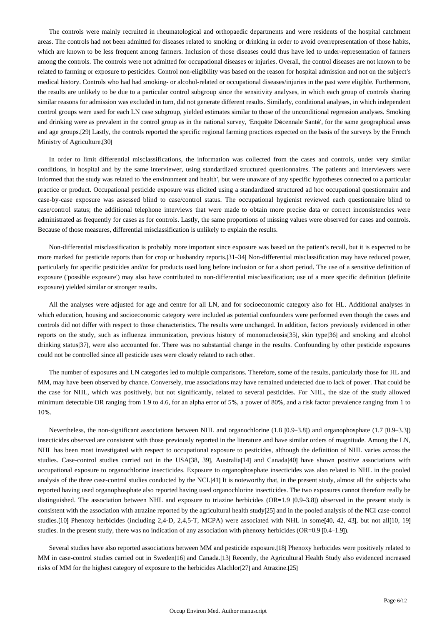The controls were mainly recruited in rheumatological and orthopaedic departments and were residents of the hospital catchment areas. The controls had not been admitted for diseases related to smoking or drinking in order to avoid overrepresentation of those habits, which are known to be less frequent among farmers. Inclusion of those diseases could thus have led to under-representation of farmers among the controls. The controls were not admitted for occupational diseases or injuries. Overall, the control diseases are not known to be related to farming or exposure to pesticides. Control non-eligibility was based on the reason for hospital admission and not on the subject's medical history. Controls who had had smoking- or alcohol-related or occupational diseases/injuries in the past were eligible. Furthermore, the results are unlikely to be due to a particular control subgroup since the sensitivity analyses, in which each group of controls sharing similar reasons for admission was excluded in turn, did not generate different results. Similarly, conditional analyses, in which independent control groups were used for each LN case subgroup, yielded estimates similar to those of the unconditional regression analyses. Smoking and drinking were as prevalent in the control group as in the national survey, 'Enquête Décennale Santé', for the same geographical areas and age groups.[29] Lastly, the controls reported the specific regional farming practices expected on the basis of the surveys by the French Ministry of Agriculture.[30]

In order to limit differential misclassifications, the information was collected from the cases and controls, under very similar conditions, in hospital and by the same interviewer, using standardized structured questionnaires. The patients and interviewers were informed that the study was related to 'the environment and health', but were unaware of any specific hypotheses connected to a particular practice or product. Occupational pesticide exposure was elicited using a standardized structured ad hoc occupational questionnaire and case-by-case exposure was assessed blind to case/control status. The occupational hygienist reviewed each questionnaire blind to case/control status; the additional telephone interviews that were made to obtain more precise data or correct inconsistencies were administrated as frequently for cases as for controls. Lastly, the same proportions of missing values were observed for cases and controls. Because of those measures, differential misclassification is unlikely to explain the results.

Non-differential misclassification is probably more important since exposure was based on the patient's recall, but it is expected to be more marked for pesticide reports than for crop or husbandry reports.[31–34] Non-differential misclassification may have reduced power, particularly for specific pesticides and/or for products used long before inclusion or for a short period. The use of a sensitive definition of exposure ('possible exposure') may also have contributed to non-differential misclassification; use of a more specific definition (definite exposure) yielded similar or stronger results.

All the analyses were adjusted for age and centre for all LN, and for socioeconomic category also for HL. Additional analyses in which education, housing and socioeconomic category were included as potential confounders were performed even though the cases and controls did not differ with respect to those characteristics. The results were unchanged. In addition, factors previously evidenced in other reports on the study, such as influenza immunization, previous history of mononucleosis[35], skin type[36] and smoking and alcohol drinking status[37], were also accounted for. There was no substantial change in the results. Confounding by other pesticide exposures could not be controlled since all pesticide uses were closely related to each other.

The number of exposures and LN categories led to multiple comparisons. Therefore, some of the results, particularly those for HL and MM, may have been observed by chance. Conversely, true associations may have remained undetected due to lack of power. That could be the case for NHL, which was positively, but not significantly, related to several pesticides. For NHL, the size of the study allowed minimum detectable OR ranging from 1.9 to 4.6, for an alpha error of 5%, a power of 80%, and a risk factor prevalence ranging from 1 to 10%.

Nevertheless, the non-significant associations between NHL and organochlorine (1.8 [0.9–3.8]) and organophosphate (1.7 [0.9–3.3]) insecticides observed are consistent with those previously reported in the literature and have similar orders of magnitude. Among the LN, NHL has been most investigated with respect to occupational exposure to pesticides, although the definition of NHL varies across the studies. Case-control studies carried out in the USA[38, 39], Australia[14] and Canada[40] have shown positive associations with occupational exposure to organochlorine insecticides. Exposure to organophosphate insecticides was also related to NHL in the pooled analysis of the three case-control studies conducted by the NCI.[41] It is noteworthy that, in the present study, almost all the subjects who reported having used organophosphate also reported having used organochlorine insecticides. The two exposures cannot therefore really be distinguished. The association between NHL and exposure to triazine herbicides (OR=1.9 [0.9–3.8]) observed in the present study is consistent with the association with atrazine reported by the agricultural health study[25] and in the pooled analysis of the NCI case-control studies.[10] Phenoxy herbicides (including 2,4-D, 2,4,5-T, MCPA) were associated with NHL in some[40, 42, 43], but not all[10, 19] studies. In the present study, there was no indication of any association with phenoxy herbicides (OR=0.9 [0.4–1.9]).

Several studies have also reported associations between MM and pesticide exposure.[18] Phenoxy herbicides were positively related to MM in case-control studies carried out in Sweden[16] and Canada.[13] Recently, the Agricultural Health Study also evidenced increased risks of MM for the highest category of exposure to the herbicides Alachlor[27] and Atrazine.[25]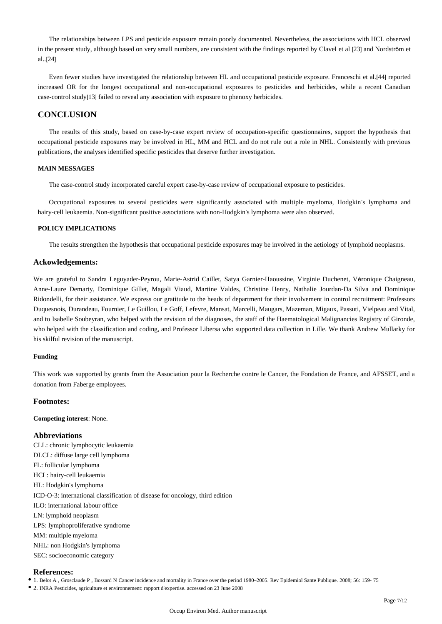The relationships between LPS and pesticide exposure remain poorly documented. Nevertheless, the associations with HCL observed in the present study, although based on very small numbers, are consistent with the findings reported by Clavel et al [23] and Nordström et al..[24]

Even fewer studies have investigated the relationship between HL and occupational pesticide exposure. Franceschi et al.[44] reported increased OR for the longest occupational and non-occupational exposures to pesticides and herbicides, while a recent Canadian case-control study[13] failed to reveal any association with exposure to phenoxy herbicides.

# **CONCLUSION**

The results of this study, based on case-by-case expert review of occupation-specific questionnaires, support the hypothesis that occupational pesticide exposures may be involved in HL, MM and HCL and do not rule out a role in NHL. Consistently with previous publications, the analyses identified specific pesticides that deserve further investigation.

#### **MAIN MESSAGES**

The case-control study incorporated careful expert case-by-case review of occupational exposure to pesticides.

Occupational exposures to several pesticides were significantly associated with multiple myeloma, Hodgkin's lymphoma and hairy-cell leukaemia. Non-significant positive associations with non-Hodgkin's lymphoma were also observed.

## **POLICY IMPLICATIONS**

The results strengthen the hypothesis that occupational pesticide exposures may be involved in the aetiology of lymphoid neoplasms.

## **Ackowledgements:**

We are grateful to Sandra Leguyader-Peyrou, Marie-Astrid Caillet, Satya Garnier-Haoussine, Virginie Duchenet, Véronique Chaigneau, Anne-Laure Demarty, Dominique Gillet, Magali Viaud, Martine Valdes, Christine Henry, Nathalie Jourdan-Da Silva and Dominique Ridondelli, for their assistance. We express our gratitude to the heads of department for their involvement in control recruitment: Professors Duquesnois, Durandeau, Fournier, Le Guillou, Le Goff, Lefevre, Mansat, Marcelli, Maugars, Mazeman, Migaux, Passuti, Vielpeau and Vital, and to Isabelle Soubeyran, who helped with the revision of the diagnoses, the staff of the Haematological Malignancies Registry of Gironde, who helped with the classification and coding, and Professor Libersa who supported data collection in Lille. We thank Andrew Mullarky for his skilful revision of the manuscript.

## **Funding**

This work was supported by grants from the Association pour la Recherche contre le Cancer, the Fondation de France, and AFSSET, and a donation from Faberge employees.

## **Footnotes:**

**Competing interest**: None.

## **Abbreviations**

CLL: chronic lymphocytic leukaemia DLCL: diffuse large cell lymphoma FL: follicular lymphoma HCL: hairy-cell leukaemia HL: Hodgkin's lymphoma ICD-O-3: international classification of disease for oncology, third edition ILO: international labour office LN: lymphoid neoplasm LPS: lymphoproliferative syndrome MM: multiple myeloma NHL: non Hodgkin's lymphoma SEC: socioeconomic category

## **References:**

1. Belot A , Grosclaude P , Bossard N Cancer incidence and mortality in France over the period 1980–2005. Rev Epidemiol Sante Publique. 2008; 56: 159- 75

2. INRA Pesticides, agriculture et environnement: rapport d'expertise. accessed on 23 June 2008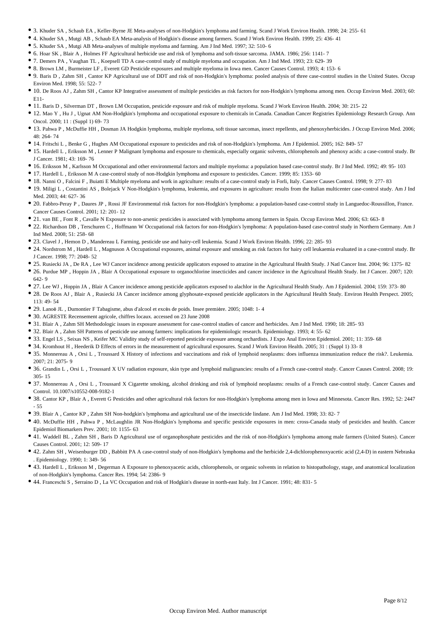- 3. Khuder SA , Schaub EA , Keller-Byrne JE Meta-analyses of non-Hodgkin's lymphoma and farming. Scand J Work Environ Health. 1998; 24: 255- 61
- 4. Khuder SA , Mutgi AB , Schaub EA Meta-analysis of Hodgkin's disease among farmers. Scand J Work Environ Health. 1999; 25: 436- 41
- 5. Khuder SA , Mutgi AB Meta-analyses of multiple myeloma and farming. Am J Ind Med. 1997; 32: 510- 6
- 6. Hoar SK , Blair A , Holmes FF Agricultural herbicide use and risk of lymphoma and soft-tissue sarcoma. JAMA. 1986; 256: 1141- 7
- 7. Demers PA , Vaughan TL , Koepsell TD A case-control study of multiple myeloma and occupation. Am J Ind Med. 1993; 23: 629- 39
- 8. Brown LM , Burmeister LF , Everett GD Pesticide exposures and multiple myeloma in Iowa men. Cancer Causes Control. 1993; 4: 153- 6
- 9. Baris D , Zahm SH , Cantor KP Agricultural use of DDT and risk of non-Hodgkin's lymphoma: pooled analysis of three case-control studies in the United States. Occup Environ Med. 1998; 55: 522- 7
- 10. De Roos AJ , Zahm SH , Cantor KP Integrative assessment of multiple pesticides as risk factors for non-Hodgkin's lymphoma among men. Occup Environ Med. 2003; 60: E11-
- 11. Baris D , Silverman DT , Brown LM Occupation, pesticide exposure and risk of multiple myeloma. Scand J Work Environ Health. 2004; 30: 215- 22
- 12. Mao Y , Hu J , Ugnat AM Non-Hodgkin's lymphoma and occupational exposure to chemicals in Canada. Canadian Cancer Registries Epidemiology Research Group. Ann Oncol. 2000; 11 : (Suppl 1) 69- 73
- 13. Pahwa P , McDuffie HH , Dosman JA Hodgkin lymphoma, multiple myeloma, soft tissue sarcomas, insect repellents, and phenoxyherbicides. J Occup Environ Med. 2006; 48: 264- 74
- 14. Fritschi L , Benke G , Hughes AM Occupational exposure to pesticides and risk of non-Hodgkin's lymphoma. Am J Epidemiol. 2005; 162: 849- 57
- 15. Hardell L , Eriksson M , Lenner P Malignant lymphoma and exposure to chemicals, especially organic solvents, chlorophenols and phenoxy acids: a case-control study. Br J Cancer. 1981; 43: 169- 76
- 16. Eriksson M , Karlsson M Occupational and other environmental factors and multiple myeloma: a population based case-control study. Br J Ind Med. 1992; 49: 95- 103
- 17. Hardell L , Eriksson M A case-control study of non-Hodgkin lymphoma and exposure to pesticides. Cancer. 1999; 85: 1353- 60
- 18. Nanni O , Falcini F , Buiatti E Multiple myeloma and work in agriculture: results of a case-control study in Forli, Italy. Cancer Causes Control. 1998; 9: 277- 83
- 19. Miligi L , Costantini AS , Bolejack V Non-Hodgkin's lymphoma, leukemia, and exposures in agriculture: results from the Italian multicenter case-control study. Am J Ind Med. 2003; 44: 627- 36
- 20. Fabbro-Peray P , Daures JP , Rossi JF Environmental risk factors for non-Hodgkin's lymphoma: a population-based case-control study in Languedoc-Roussillon, France. Cancer Causes Control. 2001; 12: 201- 12
- 21. van BE , Font R , Cavalle N Exposure to non-arsenic pesticides is associated with lymphoma among farmers in Spain. Occup Environ Med. 2006; 63: 663- 8
- 22. Richardson DB , Terschuren C , Hoffmann W Occupational risk factors for non-Hodgkin's lymphoma: A population-based case-control study in Northern Germany. Am J Ind Med. 2008; 51: 258- 68
- 23. Clavel J , Hemon D , Mandereau L Farming, pesticide use and hairy-cell leukemia. Scand J Work Environ Health. 1996; 22: 285- 93
- 24. Nordstrom M , Hardell L , Magnuson A Occupational exposures, animal exposure and smoking as risk factors for hairy cell leukaemia evaluated in a case-control study. Br J Cancer. 1998; 77: 2048- 52
- 25. Rusiecki JA , De RA , Lee WJ Cancer incidence among pesticide applicators exposed to atrazine in the Agricultural Health Study. J Natl Cancer Inst. 2004; 96: 1375- 82
- 26. Purdue MP , Hoppin JA , Blair A Occupational exposure to organochlorine insecticides and cancer incidence in the Agricultural Health Study. Int J Cancer. 2007; 120: 642- 9
- 27. Lee WJ , Hoppin JA , Blair A Cancer incidence among pesticide applicators exposed to alachlor in the Agricultural Health Study. Am J Epidemiol. 2004; 159: 373- 80
- 28. De Roos AJ , Blair A , Rusiecki JA Cancer incidence among glyphosate-exposed pesticide applicators in the Agricultural Health Study. Environ Health Perspect. 2005; 113: 49- 54
- 29. Lanoë JL , Dumontier F Tabagisme, abus d'alcool et excès de poids. Insee première. 2005; 1048: 1- 4
- 30. AGRESTE Recensement agricole, chiffres locaux. accessed on 23 June 2008
- 31. Blair A , Zahm SH Methodologic issues in exposure assessment for case-control studies of cancer and herbicides. Am J Ind Med. 1990; 18: 285- 93
- 32. Blair A , Zahm SH Patterns of pesticide use among farmers: implications for epidemiologic research. Epidemiology. 1993; 4: 55- 62
- 33. Engel LS , Seixas NS , Keifer MC Validity study of self-reported pesticide exposure among orchardists. J Expo Anal Environ Epidemiol. 2001; 11: 359- 68
- 34. Kromhout H , Heederik D Effects of errors in the measurement of agricultural exposures. Scand J Work Environ Health. 2005; 31 : (Suppl 1) 33- 8
- 35. Monnereau A , Orsi L , Troussard X History of infections and vaccinations and risk of lymphoid neoplasms: does influenza immunization reduce the risk?. Leukemia. 2007; 21: 2075- 9
- 36. Grandin L , Orsi L , Troussard X UV radiation exposure, skin type and lymphoid malignancies: results of a French case-control study. Cancer Causes Control. 2008; 19: 305- 15
- 37. Monnereau A , Orsi L , Troussard X Cigarette smoking, alcohol drinking and risk of lymphoid neoplasms: results of a French case-control study. Cancer Causes and Control. 10.1007/s10552-008-9182-1
- 38. Cantor KP , Blair A , Everett G Pesticides and other agricultural risk factors for non-Hodgkin's lymphoma among men in Iowa and Minnesota. Cancer Res. 1992; 52: 2447 - 55
- 39. Blair A , Cantor KP , Zahm SH Non-hodgkin's lymphoma and agricultural use of the insecticide lindane. Am J Ind Med. 1998; 33: 82- 7
- 40. McDuffie HH , Pahwa P , McLaughlin JR Non-Hodgkin's lymphoma and specific pesticide exposures in men: cross-Canada study of pesticides and health. Cancer Epidemiol Biomarkers Prev. 2001; 10: 1155- 63
- 41. Waddell BL , Zahm SH , Baris D Agricultural use of organophosphate pesticides and the risk of non-Hodgkin's lymphoma among male farmers (United States). Cancer Causes Control. 2001; 12: 509- 17
- 42. Zahm SH , Weisenburger DD , Babbitt PA A case-control study of non-Hodgkin's lymphoma and the herbicide 2,4-dichlorophenoxyacetic acid (2,4-D) in eastern Nebraska . Epidemiology. 1990; 1: 349- 56
- 43. Hardell L , Eriksson M , Degerman A Exposure to phenoxyacetic acids, chlorophenols, or organic solvents in relation to histopathology, stage, and anatomical localization of non-Hodgkin's lymphoma. Cancer Res. 1994; 54: 2386- 9
- 44. Franceschi S , Serraino D , La VC Occupation and risk of Hodgkin's disease in north-east Italy. Int J Cancer. 1991; 48: 831- 5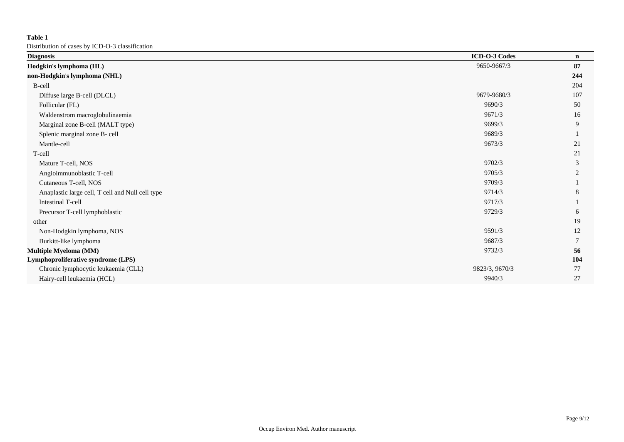Distribution of cases by ICD-O-3 classification

| <b>Diagnosis</b>                                 | ICD-O-3 Codes  | $\mathbf n$ |
|--------------------------------------------------|----------------|-------------|
| Hodgkin's lymphoma (HL)                          | 9650-9667/3    | 87          |
| non-Hodgkin's lymphoma (NHL)                     |                | 244         |
| B-cell                                           |                | 204         |
| Diffuse large B-cell (DLCL)                      | 9679-9680/3    | 107         |
| Follicular (FL)                                  | 9690/3         | 50          |
| Waldenstrom macroglobulinaemia                   | 9671/3         | 16          |
| Marginal zone B-cell (MALT type)                 | 9699/3         | 9           |
| Splenic marginal zone B- cell                    | 9689/3         |             |
| Mantle-cell                                      | 9673/3         | 21          |
| T-cell                                           |                | 21          |
| Mature T-cell, NOS                               | 9702/3         | 3           |
| Angioimmunoblastic T-cell                        | 9705/3         | 2           |
| Cutaneous T-cell, NOS                            | 9709/3         |             |
| Anaplastic large cell, T cell and Null cell type | 9714/3         | 8           |
| <b>Intestinal T-cell</b>                         | 9717/3         |             |
| Precursor T-cell lymphoblastic                   | 9729/3         | 6           |
| other                                            |                | 19          |
| Non-Hodgkin lymphoma, NOS                        | 9591/3         | 12          |
| Burkitt-like lymphoma                            | 9687/3         | 7           |
| <b>Multiple Myeloma (MM)</b>                     | 9732/3         | 56          |
| Lymphoproliferative syndrome (LPS)               |                | 104         |
| Chronic lymphocytic leukaemia (CLL)              | 9823/3, 9670/3 | 77          |
| Hairy-cell leukaemia (HCL)                       | 9940/3         | 27          |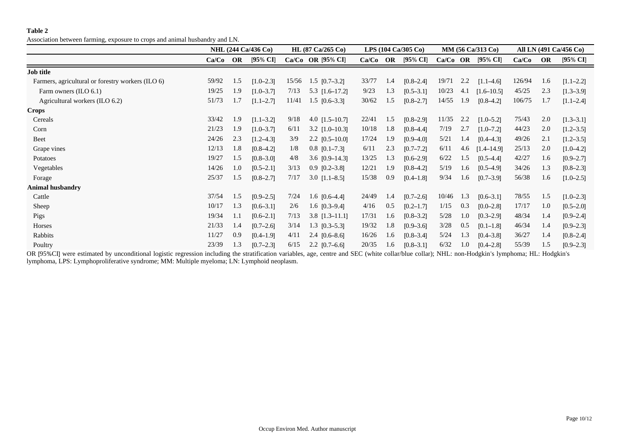Association between farming, exposure to crops and animal husbandry and LN.

|                                                   | NHL (244 Ca/436 Co) |     |                        |       | HL (87 Ca/265 Co)   | LPS (104 Ca/305 Co) |     |                        | MM (56 Ca/313 Co) |     |                        | All LN (491 Ca/456 Co) |     |                        |
|---------------------------------------------------|---------------------|-----|------------------------|-------|---------------------|---------------------|-----|------------------------|-------------------|-----|------------------------|------------------------|-----|------------------------|
|                                                   | Ca/Co               | OR  | $[95\% \ \mathrm{CI}]$ |       | $Ca/Co$ OR [95% CI] | Ca/Co               | OR  | $[95\% \ \mathrm{CI}]$ | $Ca/Co$ OR        |     | $[95\% \ \mathrm{CI}]$ | Ca/Co                  | OR  | $[95\% \ \mathrm{CI}]$ |
| Job title                                         |                     |     |                        |       |                     |                     |     |                        |                   |     |                        |                        |     |                        |
| Farmers, agricultural or forestry workers (ILO 6) | 59/92               | 1.5 | $[1.0 - 2.3]$          | 15/56 | $1.5$ [0.7-3.2]     | 33/77               | 1.4 | $[0.8 - 2.4]$          | 19/71             | 2.2 | $[1.1-4.6]$            | 126/94                 | 1.6 | $[1.1 - 2.2]$          |
| Farm owners (ILO 6.1)                             | 19/25               | 1.9 | $[1.0 - 3.7]$          | 7/13  | $5.3$ [1.6-17.2]    | 9/23                | 1.3 | $[0.5 - 3.1]$          | 10/23             | 4.1 | $[1.6 - 10.5]$         | 45/25                  | 2.3 | $[1.3 - 3.9]$          |
| Agricultural workers (ILO 6.2)                    | 51/73               | 1.7 | $[1.1 - 2.7]$          | 11/41 | $1.5$ [0.6–3.3]     | 30/62               | 1.5 | $[0.8 - 2.7]$          | 14/55             | 1.9 | $[0.8 - 4.2]$          | 106/75                 | 1.7 | $[1.1 - 2.4]$          |
| <b>Crops</b>                                      |                     |     |                        |       |                     |                     |     |                        |                   |     |                        |                        |     |                        |
| Cereals                                           | 33/42               | 1.9 | $[1.1 - 3.2]$          | 9/18  | $4.0$ [1.5–10.7]    | 22/41               | 1.5 | $[0.8 - 2.9]$          | 11/35             | 2.2 | $[1.0 - 5.2]$          | 75/43                  | 2.0 | $[1.3 - 3.1]$          |
| Corn                                              | 21/23               | 1.9 | $[1.0 - 3.7]$          | 6/11  | $3.2$ [1.0–10.3]    | 10/18               | 1.8 | $[0.8 - 4.4]$          | 7/19              | 2.7 | $[1.0 - 7.2]$          | 44/23                  | 2.0 | $[1.2 - 3.5]$          |
| <b>Beet</b>                                       | 24/26               | 2.3 | $[1.2 - 4.3]$          | 3/9   | $2.2$ [0.5-10.0]    | 17/24               | 1.9 | $[0.9 - 4.0]$          | 5/21              | 1.4 | $[0.4 - 4.3]$          | 49/26                  | 2.1 | $[1.2 - 3.5]$          |
| Grape vines                                       | 12/13               | 1.8 | $[0.8 - 4.2]$          | 1/8   | $0.8$ [0.1–7.3]     | 6/11                | 2.3 | $[0.7 - 7.2]$          | 6/11              | 4.6 | $[1.4 - 14.9]$         | 25/13                  | 2.0 | $[1.0 - 4.2]$          |
| Potatoes                                          | 19/27               | 1.5 | $[0.8 - 3.0]$          | 4/8   | $3.6$ [0.9–14.3]    | 13/25               | 1.3 | $[0.6 - 2.9]$          | 6/22              | 1.5 | $[0.5-4.4]$            | 42/27                  | 1.6 | $[0.9 - 2.7]$          |
| Vegetables                                        | 14/26               | 1.0 | $[0.5 - 2.1]$          | 3/13  | $0.9$ [0.2–3.8]     | 12/21               | 1.9 | $[0.8 - 4.2]$          | 5/19              | 1.6 | $[0.5-4.9]$            | 34/26                  | 1.3 | $[0.8 - 2.3]$          |
| Forage                                            | 25/37               | 1.5 | $[0.8 - 2.7]$          | 7/17  | $3.0$ [1.1-8.5]     | 15/38               | 0.9 | $[0.4 - 1.8]$          | 9/34              | 1.6 | $[0.7 - 3.9]$          | 56/38                  | 1.6 | $[1.0 - 2.5]$          |
| <b>Animal husbandry</b>                           |                     |     |                        |       |                     |                     |     |                        |                   |     |                        |                        |     |                        |
| Cattle                                            | 37/54               | 1.5 | $[0.9 - 2.5]$          | 7/24  | 1.6 $[0.6-4.4]$     | 24/49               | 1.4 | $[0.7 - 2.6]$          | 10/46             | 1.3 | $[0.6 - 3.1]$          | 78/55                  | 1.5 | $[1.0 - 2.3]$          |
| Sheep                                             | 10/17               | 1.3 | $[0.6 - 3.1]$          | 2/6   | $1.6$ [0.3-9.4]     | 4/16                | 0.5 | $[0.2 - 1.7]$          | 1/15              | 0.3 | $[0.0 - 2.8]$          | 17/17                  | 1.0 | $[0.5 - 2.0]$          |
| Pigs                                              | 19/34               | 1.1 | $[0.6 - 2.1]$          | 7/13  | $3.8$ [1.3-11.1]    | 17/31               | 1.6 | $[0.8 - 3.2]$          | 5/28              | 1.0 | $[0.3 - 2.9]$          | 48/34                  | 1.4 | $[0.9 - 2.4]$          |
| Horses                                            | 21/33               | 1.4 | $[0.7 - 2.6]$          | 3/14  | $1.3$ [0.3-5.3]     | 19/32               | 1.8 | $[0.9 - 3.6]$          | 3/28              | 0.5 | $[0.1 - 1.8]$          | 46/34                  | 1.4 | $[0.9 - 2.3]$          |
| Rabbits                                           | 11/27               | 0.9 | $[0.4 - 1.9]$          | 4/11  | $2.4$ [0.6–8.6]     | 16/26               | 1.6 | $[0.8 - 3.4]$          | 5/24              | 1.3 | $[0.4 - 3.8]$          | 36/27                  | 1.4 | $[0.8 - 2.4]$          |
| Poultry                                           | 23/39               | 1.3 | $[0.7 - 2.3]$          | 6/15  | $2.2$ [0.7-6.6]     | 20/35               | 1.6 | $[0.8 - 3.1]$          | 6/32              | 1.0 | $[0.4 - 2.8]$          | 55/39                  | 1.5 | $[0.9 - 2.3]$          |

OR [95%CI] were estimated by unconditional logistic regression including the stratification variables, age, centre and SEC (white collar/blue collar); NHL: non-Hodgkin's lymphoma; HL: Hodgkin's lymphoma, LPS: Lymphoproliferative syndrome; MM: Multiple myeloma; LN: Lymphoid neoplasm.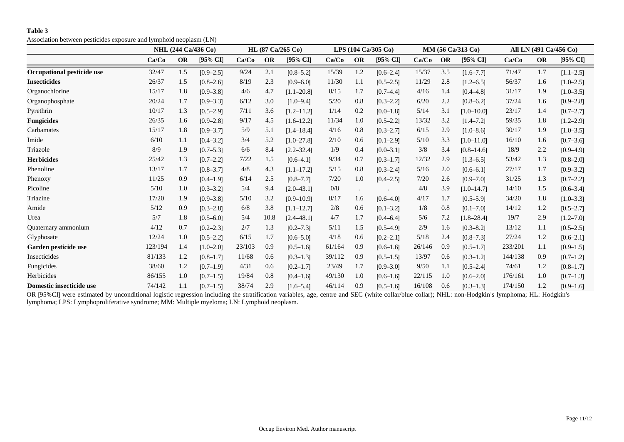Association between pesticides exposure and lymphoid neoplasm (LN)

|                            | NHL (244 Ca/436 Co) |           |                     | HL (87 Ca/265 Co) |           |                        | LPS (104 Ca/305 Co) |           |                        |        |     | MM (56 Ca/313 Co) | All LN (491 Ca/456 Co) |           |               |
|----------------------------|---------------------|-----------|---------------------|-------------------|-----------|------------------------|---------------------|-----------|------------------------|--------|-----|-------------------|------------------------|-----------|---------------|
|                            | Ca/Co               | <b>OR</b> | $[95\% \text{ CI}]$ | Ca/Co             | <b>OR</b> | $[95\% \ \mathrm{CI}]$ | Ca/Co               | <b>OR</b> | $[95\% \ \mathrm{CI}]$ | Ca/Co  | OR  | [95% CI]          | Ca/Co                  | <b>OR</b> | [95% CI]      |
| Occupational pesticide use | 32/47               | 1.5       | $[0.9 - 2.5]$       | 9/24              | 2.1       | $[0.8 - 5.2]$          | 15/39               | 1.2       | $[0.6 - 2.4]$          | 15/37  | 3.5 | $[1.6 - 7.7]$     | 71/47                  | 1.7       | $[1.1 - 2.5]$ |
| <b>Insecticides</b>        | 26/37               | 1.5       | $[0.8 - 2.6]$       | 8/19              | 2.3       | $[0.9 - 6.0]$          | 11/30               | 1.1       | $[0.5 - 2.5]$          | 11/29  | 2.8 | $[1.2 - 6.5]$     | 56/37                  | 1.6       | $[1.0 - 2.5]$ |
| Organochlorine             | 15/17               | 1.8       | $[0.9 - 3.8]$       | 4/6               | 4.7       | $[1.1 - 20.8]$         | 8/15                | 1.7       | $[0.7 - 4.4]$          | 4/16   | 1.4 | $[0.4 - 4.8]$     | 31/17                  | 1.9       | $[1.0 - 3.5]$ |
| Organophosphate            | 20/24               | 1.7       | $[0.9 - 3.3]$       | 6/12              | 3.0       | $[1.0 - 9.4]$          | 5/20                | 0.8       | $[0.3 - 2.2]$          | 6/20   | 2.2 | $[0.8 - 6.2]$     | 37/24                  | 1.6       | $[0.9 - 2.8]$ |
| Pyrethrin                  | 10/17               | 1.3       | $[0.5 - 2.9]$       | 7/11              | 3.6       | $[1.2 - 11.2]$         | 1/14                | 0.2       | $[0.0 - 1.8]$          | 5/14   | 3.1 | $[1.0 - 10.0]$    | 23/17                  | 1.4       | $[0.7 - 2.7]$ |
| <b>Fungicides</b>          | 26/35               | 1.6       | $[0.9 - 2.8]$       | 9/17              | 4.5       | $[1.6 - 12.2]$         | 11/34               | 1.0       | $[0.5 - 2.2]$          | 13/32  | 3.2 | $[1.4 - 7.2]$     | 59/35                  | 1.8       | $[1.2 - 2.9]$ |
| Carbamates                 | 15/17               | 1.8       | $[0.9 - 3.7]$       | 5/9               | 5.1       | $[1.4 - 18.4]$         | 4/16                | 0.8       | $[0.3 - 2.7]$          | 6/15   | 2.9 | $[1.0 - 8.6]$     | 30/17                  | 1.9       | $[1.0 - 3.5]$ |
| Imide                      | 6/10                | 1.1       | $[0.4 - 3.2]$       | 3/4               | 5.2       | $[1.0 - 27.8]$         | 2/10                | 0.6       | $[0.1 - 2.9]$          | 5/10   | 3.3 | $[1.0 - 11.0]$    | 16/10                  | 1.6       | $[0.7 - 3.6]$ |
| Triazole                   | 8/9                 | 1.9       | $[0.7 - 5.3]$       | 6/6               | 8.4       | $[2.2 - 32.4]$         | 1/9                 | 0.4       | $[0.0 - 3.1]$          | 3/8    | 3.4 | $[0.8 - 14.6]$    | 18/9                   | 2.2       | $[0.9 - 4.9]$ |
| <b>Herbicides</b>          | 25/42               | 1.3       | $[0.7 - 2.2]$       | 7/22              | 1.5       | $[0.6 - 4.1]$          | 9/34                | 0.7       | $[0.3 - 1.7]$          | 12/32  | 2.9 | $[1.3 - 6.5]$     | 53/42                  | 1.3       | $[0.8 - 2.0]$ |
| Phenoline                  | 13/17               | 1.7       | $[0.8 - 3.7]$       | 4/8               | 4.3       | $[1.1 - 17.2]$         | 5/15                | 0.8       | $[0.3 - 2.4]$          | 5/16   | 2.0 | $[0.6 - 6.1]$     | 27/17                  | 1.7       | $[0.9 - 3.2]$ |
| Phenoxy                    | 11/25               | 0.9       | $[0.4 - 1.9]$       | 6/14              | 2.5       | $[0.8 - 7.7]$          | 7/20                | 1.0       | $[0.4 - 2.5]$          | 7/20   | 2.6 | $[0.9 - 7.0]$     | 31/25                  | 1.3       | $[0.7 - 2.2]$ |
| Picoline                   | 5/10                | 1.0       | $[0.3 - 3.2]$       | 5/4               | 9.4       | $[2.0 - 43.1]$         | 0/8                 |           |                        | 4/8    | 3.9 | $[1.0 - 14.7]$    | 14/10                  | 1.5       | $[0.6 - 3.4]$ |
| Triazine                   | 17/20               | 1.9       | $[0.9 - 3.8]$       | 5/10              | 3.2       | $[0.9 - 10.9]$         | 8/17                | 1.6       | $[0.6 - 4.0]$          | 4/17   | 1.7 | $[0.5 - 5.9]$     | 34/20                  | 1.8       | $[1.0 - 3.3]$ |
| Amide                      | 5/12                | 0.9       | $[0.3 - 2.8]$       | 6/8               | 3.8       | $[1.1 - 12.7]$         | 2/8                 | 0.6       | $[0.1 - 3.2]$          | 1/8    | 0.8 | $[0.1 - 7.0]$     | 14/12                  | 1.2       | $[0.5 - 2.7]$ |
| Urea                       | 5/7                 | 1.8       | $[0.5 - 6.0]$       | 5/4               | 10.8      | $[2.4 - 48.1]$         | 4/7                 | 1.7       | $[0.4 - 6.4]$          | 5/6    | 7.2 | $[1.8 - 28.4]$    | 19/7                   | 2.9       | $[1.2 - 7.0]$ |
| Quaternary ammonium        | 4/12                | 0.7       | $[0.2 - 2.3]$       | 2/7               | 1.3       | $[0.2 - 7.3]$          | 5/11                | 1.5       | $[0.5 - 4.9]$          | 2/9    | 1.6 | $[0.3 - 8.2]$     | 13/12                  | 1.1       | $[0.5 - 2.5]$ |
| Glyphosate                 | 12/24               | 1.0       | $[0.5 - 2.2]$       | 6/15              | 1.7       | $[0.6 - 5.0]$          | 4/18                | 0.6       | $[0.2 - 2.1]$          | 5/18   | 2.4 | $[0.8 - 7.3]$     | 27/24                  | 1.2       | $[0.6 - 2.1]$ |
| Garden pesticide use       | 123/194             | 1.4       | $[1.0 - 2.0]$       | 23/103            | 0.9       | $[0.5-1.6]$            | 61/164              | 0.9       | $[0.6 - 1.6]$          | 26/146 | 0.9 | $[0.5 - 1.7]$     | 233/201                | 1.1       | $[0.9 - 1.5]$ |
| Insecticides               | 81/133              | 1.2       | $[0.8 - 1.7]$       | 11/68             | 0.6       | $[0.3 - 1.3]$          | 39/112              | 0.9       | $[0.5 - 1.5]$          | 13/97  | 0.6 | $[0.3 - 1.2]$     | 144/138                | 0.9       | $[0.7-1.2]$   |
| Fungicides                 | 38/60               | 1.2       | $[0.7-1.9]$         | 4/31              | 0.6       | $[0.2 - 1.7]$          | 23/49               | 1.7       | $[0.9 - 3.0]$          | 9/50   | 1.1 | $[0.5 - 2.4]$     | 74/61                  | 1.2       | $[0.8 - 1.7]$ |
| Herbicides                 | 86/155              | 1.0       | $[0.7-1.5]$         | 19/84             | 0.8       | $[0.4 - 1.6]$          | 49/130              | 1.0       | $[0.6 - 1.6]$          | 22/115 | 1.0 | $[0.6 - 2.0]$     | 176/161                | 1.0       | $[0.7-1.3]$   |
| Domestic insecticide use   | 74/142              | 1.1       | $[0.7-1.5]$         | 38/74             | 2.9       | $[1.6 - 5.4]$          | 46/114              | 0.9       | $[0.5 - 1.6]$          | 16/108 | 0.6 | $[0.3 - 1.3]$     | 174/150                | 1.2       | $[0.9 - 1.6]$ |

OR [95%CI] were estimated by unconditional logistic regression including the stratification variables, age, centre and SEC (white collar/blue collar); NHL: non-Hodgkin's lymphoma; HL: Hodgkin's lymphoma; LPS: Lymphoproliferative syndrome; MM: Multiple myeloma; LN: Lymphoid neoplasm.